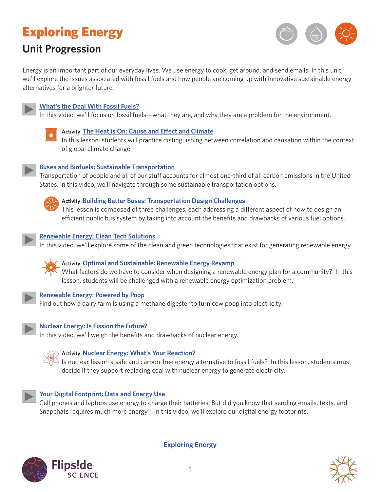# Exploring Energy

# **Unit Progression**



Energy is an important part of our everyday lives. We use energy to cook, get around, and send emails. In this unit, we'll explore the issues associated with fossil fuels and how people are coming up with innovative sustainable energy alternatives for a brighter future.



# **[What's the Deal With Fossil Fuels?](http://www.calacademy.org/educators/whats-the-deal-with-fossil-fuels)**

In this video, we'll focus on fossil fuels—what they are, and why they are a problem for the environment.



#### **Activity [The Heat is On: Cause and Effect and Climate](http://www.calacademy.org/educators/lesson-plans/the-heat-is-on-cause-and-effect-and-climate)**

In this lesson, students will practice distinguishing between correlation and causation within the context of global climate change.



#### **[Buses and Biofuels: Sustainable Transportation](http://www.calacademy.org/educators/buses-and-biofuels-sustainable-transportation)**

Transportation of people and all of our stuff accounts for almost one-third of all carbon emissions in the United States. In this video, we'll navigate through some sustainable transportation options.



#### **Activity [Building Better Buses: Transportation Design Challenges](http://www.calacademy.org/educators/lesson-plans/building-better-buses-transportation-design-challenges)**

This lesson is composed of three challenges, each addressing a different aspect of how to design an efficient public bus system by taking into account the benefits and drawbacks of various fuel options.



#### **[Renewable Energy: Clean Tech Solutions](http://www.calacademy.org/educators/renewable-energy-clean-tech-solutions)**

In this video, we'll explore some of the clean and green technologies that exist for generating renewable energy.



# **Activity [Optimal and Sustainable: Renewable Energy Revamp](http://www.calacademy.org/educators/lesson-plans/optimal-and-sustainable-renewable-energy-revamp)**

What factors do we have to consider when designing a renewable energy plan for a community? In this lesson, students will be challenged with a renewable energy optimization problem.



#### **[Renewable Energy: Powered by Poop](https://www.calacademy.org/educators/renewable-energy-powered-by-poop)**

Find out how a dairy farm is using a methane digester to turn cow poop into electricity.



## **[Nuclear Energy: Is Fission the Future?](http://www.calacademy.org/educators/nuclear-energy-is-fission-the-future)**

In this video, we'll weigh the benefits and drawbacks of nuclear energy.



## **Activity [Nuclear Energy: What's Your Reaction?](http://www.calacademy.org/educators/lesson-plans/nuclear-energy-whats-your-reaction)**

Is nuclear fission a safe and carbon-free energy alternative to fossil fuels? In this lesson, students must decide if they support replacing coal with nuclear energy to generate electricity.



#### **[Your Digital Footprint: Data and Energy Use](http://www.calacademy.org/educators/your-digital-footprint-data-and-energy-use)**

Cell phones and laptops use energy to charge their batteries. But did you know that sending emails, texts, and Snapchats requires much more energy? In this video, we'll explore our digital energy footprints.



**[Exploring Energy](www.calacademy.org/educators/exploring-energy)**